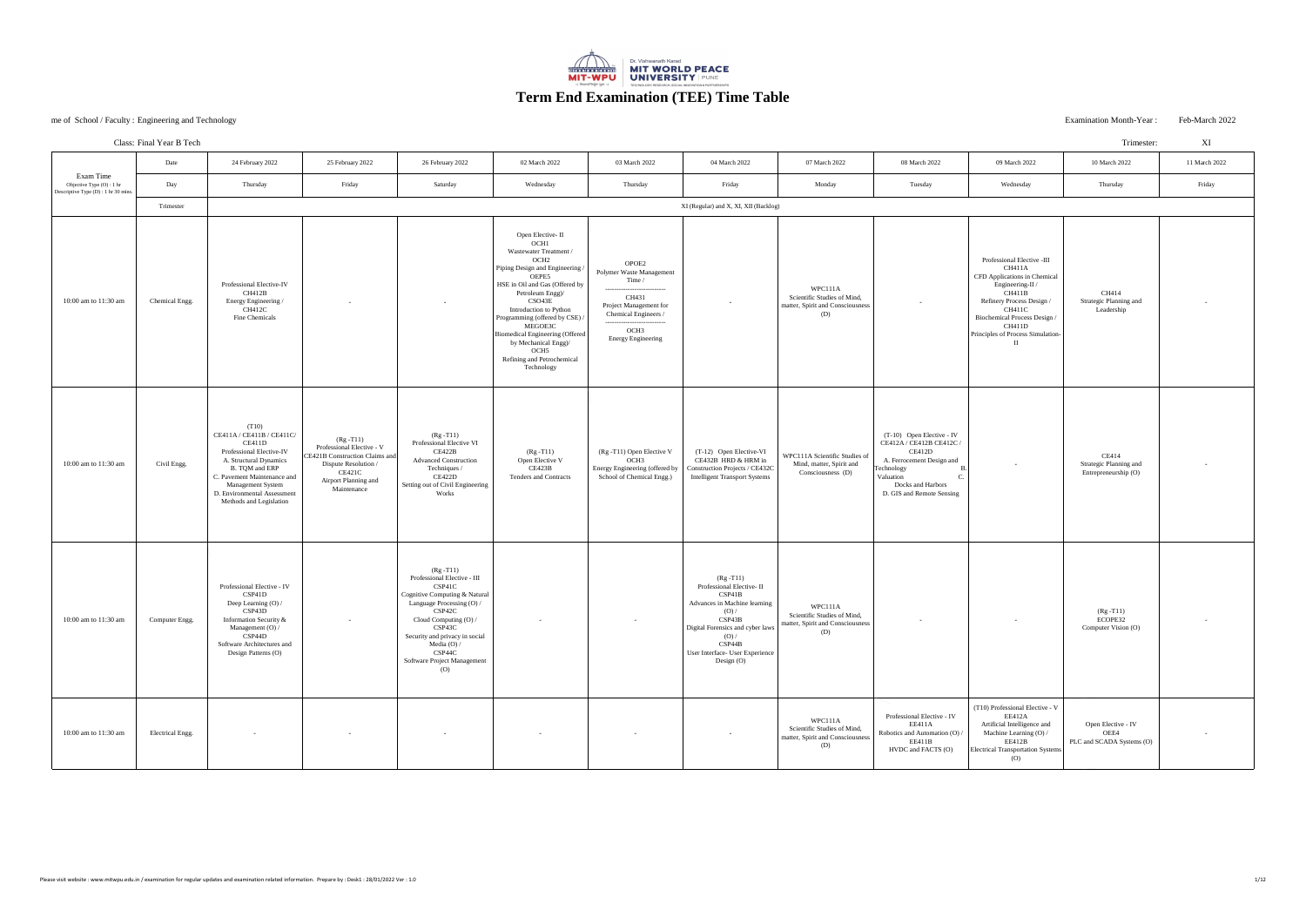# Examination Month-Year : Feb-March 2022

|                                                                                | Date             | 24 February 2022                                                                                                                                                                                                                          | 25 February 2022                                                                                                                                     | 26 February 2022                                                                                                                                                                                                                                                           | 02 March 2022                                                                                                                                                                                                                                                                                                                                                                                           | 03 March 2022                                                                                                                                                                                    | 04 March 2022                                                                                                                                                                                                   | 07 March 2022                                                                     | 08 March 2022                                                                                                                                                               | 09 March 2022                                                                                                                                                                                                                          | 10 March 2022                                                  | 11 March 2022 |
|--------------------------------------------------------------------------------|------------------|-------------------------------------------------------------------------------------------------------------------------------------------------------------------------------------------------------------------------------------------|------------------------------------------------------------------------------------------------------------------------------------------------------|----------------------------------------------------------------------------------------------------------------------------------------------------------------------------------------------------------------------------------------------------------------------------|---------------------------------------------------------------------------------------------------------------------------------------------------------------------------------------------------------------------------------------------------------------------------------------------------------------------------------------------------------------------------------------------------------|--------------------------------------------------------------------------------------------------------------------------------------------------------------------------------------------------|-----------------------------------------------------------------------------------------------------------------------------------------------------------------------------------------------------------------|-----------------------------------------------------------------------------------|-----------------------------------------------------------------------------------------------------------------------------------------------------------------------------|----------------------------------------------------------------------------------------------------------------------------------------------------------------------------------------------------------------------------------------|----------------------------------------------------------------|---------------|
| Exam Time<br>Objective Type (O) : 1 hr<br>Descriptive Type (D) : 1 hr 30 mins. | Day              | Thursday                                                                                                                                                                                                                                  | Friday                                                                                                                                               | Saturday                                                                                                                                                                                                                                                                   | Wednesday                                                                                                                                                                                                                                                                                                                                                                                               | Thursday                                                                                                                                                                                         | Friday                                                                                                                                                                                                          | Monday                                                                            | Tuesday                                                                                                                                                                     | Wednesday                                                                                                                                                                                                                              | Thursday                                                       | Friday        |
|                                                                                | Trimester        |                                                                                                                                                                                                                                           |                                                                                                                                                      |                                                                                                                                                                                                                                                                            |                                                                                                                                                                                                                                                                                                                                                                                                         |                                                                                                                                                                                                  | XI (Regular) and X, XI, XII (Backlog)                                                                                                                                                                           |                                                                                   |                                                                                                                                                                             |                                                                                                                                                                                                                                        |                                                                |               |
| 10:00 am to 11:30 am                                                           | Chemical Engg.   | Professional Elective-IV<br>CH412B<br>Energy Engineering /<br><b>CH412C</b><br>Fine Chemicals                                                                                                                                             | $\sim$ $-$                                                                                                                                           | $\sim$                                                                                                                                                                                                                                                                     | Open Elective-II<br>OCH <sub>1</sub><br>Wastewater Treatment /<br>OCH <sub>2</sub><br>Piping Design and Engineering /<br>OEPE5<br>HSE in Oil and Gas (Offered by<br>Petroleum Engg)/<br>CSO43E<br>Introduction to Python<br>Programming (offered by CSE) /<br>MEGOE3C<br>Biomedical Engineering (Offered<br>by Mechanical Engg)/<br>OCH <sub>5</sub><br><b>Refining and Petrochemical</b><br>Technology | OPOE2<br>Polymer Waste Management<br>Time /<br>---------------------<br>CH431<br>Project Management for<br>Chemical Engineers /<br>------------<br>OCH <sub>3</sub><br><b>Energy Engineering</b> | $\sim$ $-$                                                                                                                                                                                                      | WPC111A<br>Scientific Studies of Mind,<br>matter, Spirit and Consciousness<br>(D) |                                                                                                                                                                             | Professional Elective -III<br>CH411A<br><b>CFD</b> Applications in Chemical<br>Engineering-II /<br>CH411B<br>Refinery Process Design /<br><b>CH411C</b><br>Biochemical Process Design /<br>CH411D<br>Principles of Process Simulation- | CH414<br><b>Strategic Planning and</b><br>Leadership           | $\sim 100$    |
| 10:00 am to 11:30 am                                                           | Civil Engg.      | (T10)<br>CE411A / CE411B / CE411C/<br>CE411D<br>Professional Elective-IV<br>A. Structural Dynamics<br>B. TQM and ERP<br>C. Pavement Maintenance and<br><b>Management System</b><br>D. Environmental Assessment<br>Methods and Legislation | $(Rg - T11)$<br>Professional Elective - V<br>CE421B Construction Claims and<br>Dispute Resolution /<br>CE421C<br>Airport Planning and<br>Maintenance | $(Rg - T11)$<br>Professional Elective VI<br>CE422B<br><b>Advanced Construction</b><br>Techniques /<br>CE422D<br>Setting out of Civil Engineering<br>Works                                                                                                                  | $(Rg - T11)$<br>Open Elective V<br>CE423B<br><b>Tenders and Contracts</b>                                                                                                                                                                                                                                                                                                                               | (Rg -T11) Open Elective V<br>OCH <sub>3</sub><br>Energy Engineering (offered by<br>School of Chemical Engg.)                                                                                     | (T-12) Open Elective-VI<br>CE432B HRD & HRM in<br>Construction Projects / CE432C<br><b>Intelligent Transport Systems</b>                                                                                        | WPC111A Scientific Studies of<br>Mind, matter, Spirit and<br>Consciousness (D)    | $(T-10)$ Open Elective - IV<br>CE412A / CE412B CE412C /<br>CE412D<br>A. Ferrocement Design and<br>Technology<br>Valuation<br>Docks and Harbors<br>D. GIS and Remote Sensing |                                                                                                                                                                                                                                        | CE414<br><b>Strategic Planning and</b><br>Entrepreneurship (O) | $\sim$ $-$    |
| 10:00 am to 11:30 am                                                           | Computer Engg.   | Professional Elective - IV<br>CSP41D<br>Deep Learning (O) /<br>CSP43D<br>Information Security &<br>Management (O) /<br>CSP44D<br>Software Architectures and<br>Design Patterns (O)                                                        | $\sim$                                                                                                                                               | $(Rg - T11)$<br>Professional Elective - III<br>CSP41C<br>Cognitive Computing & Natural<br>Language Processing (O) /<br>CSP42C<br>Cloud Computing (O) /<br>CSP43C<br>Security and privacy in social<br>Media $(O) /$<br>CSP44C<br>Software Project Management<br>$\left($ O |                                                                                                                                                                                                                                                                                                                                                                                                         | $\sim$                                                                                                                                                                                           | $(Rg - T11)$<br>Professional Elective-II<br>CSP41B<br>Advances in Machine learning<br>(O) /<br>CSP43B<br>Digital Forensics and cyber laws<br>(O) /<br>CSP44B<br>User Interface- User Experience<br>Design $(O)$ | WPC111A<br>Scientific Studies of Mind,<br>matter, Spirit and Consciousness<br>(D) | $\sim$ $-$                                                                                                                                                                  | $\sim$                                                                                                                                                                                                                                 | $(Rg - T11)$<br>ECOPE32<br>Computer Vision (O)                 | $\sim$        |
| 10:00 am to 11:30 am                                                           | Electrical Engg. | $\sim$                                                                                                                                                                                                                                    |                                                                                                                                                      | $\sim$                                                                                                                                                                                                                                                                     |                                                                                                                                                                                                                                                                                                                                                                                                         | $\sim$                                                                                                                                                                                           |                                                                                                                                                                                                                 | WPC111A<br>Scientific Studies of Mind,<br>matter, Spirit and Consciousness<br>(D) | Professional Elective - IV<br>EE411A<br>Robotics and Automation (O).<br>EE411B<br>HVDC and FACTS (O)                                                                        | (T10) Professional Elective - V<br>EE412A<br>Artificial Intelligence and<br>Machine Learning (O) /<br>EE412B<br><b>Electrical Transportation Systems</b><br>(0)                                                                        | Open Elective - IV<br>OEE4<br>PLC and SCADA Systems (O)        | $\sim$ $-$    |



|                | <b>Class: Final Year B Tech</b> |                                                                                                                                                                                                                                           |                                                                                                                                                      |                                                                                                                                                                                                                                                                                   |                                                                                                                                                                                                                                                                                                                                                                                                       |                                                                                                                                                                              |                                                                                                                                                                                                                 |                                                                                   |                                                                                                                                                                           |                                                                                                                                                                                                                                                      | Trimester:                                              | XI            |
|----------------|---------------------------------|-------------------------------------------------------------------------------------------------------------------------------------------------------------------------------------------------------------------------------------------|------------------------------------------------------------------------------------------------------------------------------------------------------|-----------------------------------------------------------------------------------------------------------------------------------------------------------------------------------------------------------------------------------------------------------------------------------|-------------------------------------------------------------------------------------------------------------------------------------------------------------------------------------------------------------------------------------------------------------------------------------------------------------------------------------------------------------------------------------------------------|------------------------------------------------------------------------------------------------------------------------------------------------------------------------------|-----------------------------------------------------------------------------------------------------------------------------------------------------------------------------------------------------------------|-----------------------------------------------------------------------------------|---------------------------------------------------------------------------------------------------------------------------------------------------------------------------|------------------------------------------------------------------------------------------------------------------------------------------------------------------------------------------------------------------------------------------------------|---------------------------------------------------------|---------------|
|                | Date                            | 24 February 2022                                                                                                                                                                                                                          | 25 February 2022                                                                                                                                     | 26 February 2022                                                                                                                                                                                                                                                                  | 02 March 2022                                                                                                                                                                                                                                                                                                                                                                                         | 03 March 2022                                                                                                                                                                | 04 March 2022                                                                                                                                                                                                   | 07 March 2022                                                                     | 08 March 2022                                                                                                                                                             | 09 March 2022                                                                                                                                                                                                                                        | 10 March 2022                                           | 11 March 2022 |
| hr<br>30 mins. | Day                             | Thursday                                                                                                                                                                                                                                  | Friday                                                                                                                                               | Saturday                                                                                                                                                                                                                                                                          | Wednesday                                                                                                                                                                                                                                                                                                                                                                                             | Thursday                                                                                                                                                                     | Friday                                                                                                                                                                                                          | Monday                                                                            | Tuesday                                                                                                                                                                   | Wednesday                                                                                                                                                                                                                                            | Thursday                                                | Friday        |
|                | Trimester                       | XI (Regular) and X, XI, XII (Backlog)                                                                                                                                                                                                     |                                                                                                                                                      |                                                                                                                                                                                                                                                                                   |                                                                                                                                                                                                                                                                                                                                                                                                       |                                                                                                                                                                              |                                                                                                                                                                                                                 |                                                                                   |                                                                                                                                                                           |                                                                                                                                                                                                                                                      |                                                         |               |
| am             | Chemical Engg.                  | Professional Elective-IV<br><b>CH412B</b><br>Energy Engineering /<br><b>CH412C</b><br>Fine Chemicals                                                                                                                                      |                                                                                                                                                      | $\sim$                                                                                                                                                                                                                                                                            | Open Elective-II<br>OCH <sub>1</sub><br><b>Wastewater Treatment</b> /<br>OCH <sub>2</sub><br>Piping Design and Engineering /<br>OEPE5<br>HSE in Oil and Gas (Offered by<br>Petroleum Engg)/<br>CSO43E<br>Introduction to Python<br>Programming (offered by CSE)<br>MEGOE3C<br>Biomedical Engineering (Offered<br>by Mechanical Engg)/<br>OCH <sub>5</sub><br>Refining and Petrochemical<br>Technology | OPOE2<br>Polymer Waste Management<br>Time /<br>----------<br>CH431<br><b>Project Management for</b><br>Chemical Engineers /<br>OCH <sub>3</sub><br><b>Energy Engineering</b> | $\sim$                                                                                                                                                                                                          | WPC111A<br>Scientific Studies of Mind,<br>matter, Spirit and Consciousness<br>(D) |                                                                                                                                                                           | Professional Elective -III<br><b>CH411A</b><br>CFD Applications in Chemical<br>Engineering-II /<br>CH411B<br>Refinery Process Design /<br><b>CH411C</b><br><b>Biochemical Process Design /</b><br><b>CH411D</b><br>Principles of Process Simulation- | CH414<br><b>Strategic Planning and</b><br>Leadership    |               |
| am             | Civil Engg.                     | (T10)<br>CE411A / CE411B / CE411C/<br>CE411D<br>Professional Elective-IV<br>A. Structural Dynamics<br>B. TQM and ERP<br>C. Pavement Maintenance and<br><b>Management System</b><br>D. Environmental Assessment<br>Methods and Legislation | $(Rg - T11)$<br>Professional Elective - V<br>CE421B Construction Claims and<br>Dispute Resolution /<br>CE421C<br>Airport Planning and<br>Maintenance | $(Rg - T11)$<br>Professional Elective VI<br>CE422B<br><b>Advanced Construction</b><br>Techniques /<br>CE422D<br>Setting out of Civil Engineering<br>Works                                                                                                                         | $(Rg - T11)$<br>Open Elective V<br>CE423B<br><b>Tenders and Contracts</b>                                                                                                                                                                                                                                                                                                                             | (Rg -T11) Open Elective V<br>OCH <sub>3</sub><br>Energy Engineering (offered by<br>School of Chemical Engg.)                                                                 | (T-12) Open Elective-VI<br>CE432B HRD & HRM in<br>Construction Projects / CE432C<br><b>Intelligent Transport Systems</b>                                                                                        | WPC111A Scientific Studies of<br>Mind, matter, Spirit and<br>Consciousness (D)    | (T-10) Open Elective - IV<br>CE412A / CE412B CE412C /<br>CE412D<br>A. Ferrocement Design and<br>Technology<br>Valuation<br>Docks and Harbors<br>D. GIS and Remote Sensing |                                                                                                                                                                                                                                                      | CE414<br>Strategic Planning and<br>Entrepreneurship (O) |               |
| am             | Computer Engg.                  | Professional Elective - IV<br>CSP41D<br>Deep Learning (O) /<br>CSP43D<br>Information Security &<br>Management (O) /<br>CSP44D<br>Software Architectures and<br>Design Patterns (O)                                                        | $\sim 100$                                                                                                                                           | $(Rg - T11)$<br>Professional Elective - III<br>CSP41C<br>Cognitive Computing & Natural<br>Language Processing (O) /<br>CSP42C<br>Cloud Computing (O) /<br>CSP43C<br>Security and privacy in social<br>Media $(O) /$<br>CSP44C<br>Software Project Management<br>$\left( 0\right)$ | $\sim 100$                                                                                                                                                                                                                                                                                                                                                                                            | $\sim$ $-$                                                                                                                                                                   | $(Rg - T11)$<br>Professional Elective-II<br>CSP41B<br>Advances in Machine learning<br>(O) /<br>CSP43B<br>Digital Forensics and cyber laws<br>(O) /<br>CSP44B<br>User Interface- User Experience<br>Design $(O)$ | WPC111A<br>Scientific Studies of Mind,<br>matter, Spirit and Consciousness<br>(D) | $\sim$ $\sim$                                                                                                                                                             | $\sim 100$                                                                                                                                                                                                                                           | $(Rg - T11)$<br>ECOPE32<br>Computer Vision (O)          | $\sim$        |
| am             | <b>Electrical Engg.</b>         |                                                                                                                                                                                                                                           |                                                                                                                                                      |                                                                                                                                                                                                                                                                                   |                                                                                                                                                                                                                                                                                                                                                                                                       |                                                                                                                                                                              |                                                                                                                                                                                                                 | WPC111A<br>Scientific Studies of Mind,<br>matter, Spirit and Consciousness<br>(D) | Professional Elective - IV<br>EE411A<br>Robotics and Automation (O) /<br>EE411B<br>HVDC and FACTS (O)                                                                     | (T10) Professional Elective - V<br>EE412A<br>Artificial Intelligence and<br>Machine Learning (O) /<br>EE412B<br><b>Electrical Transportation Systems</b><br>(O)                                                                                      | Open Elective - IV<br>OEE4<br>PLC and SCADA Systems (O) |               |